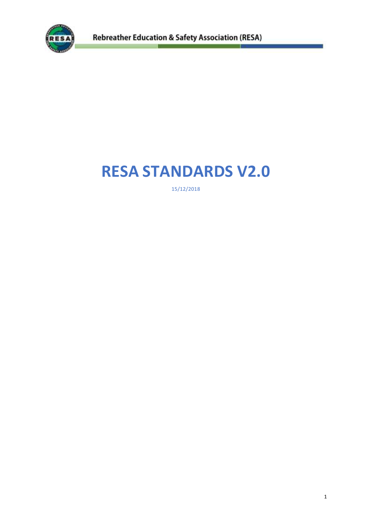

# **RESA STANDARDS V2.0**

15/12/2018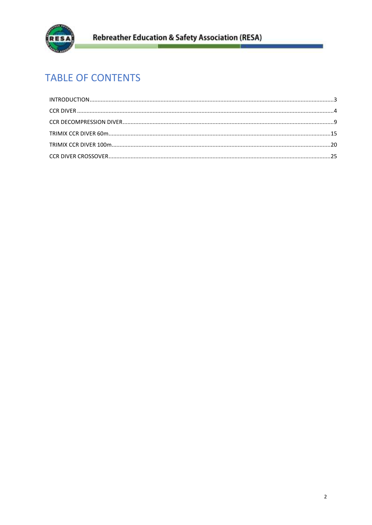

# **TABLE OF CONTENTS**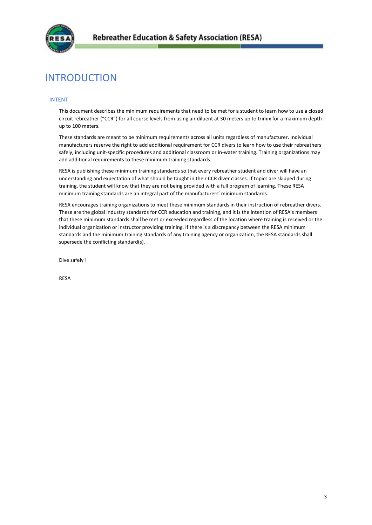

# <span id="page-2-0"></span>INTRODUCTION

# INTENT

This document describes the minimum requirements that need to be met for a student to learn how to use a closed circuit rebreather ("CCR") for all course levels from using air diluent at 30 meters up to trimix for a maximum depth up to 100 meters.

These standards are meant to be minimum requirements across all units regardless of manufacturer. Individual manufacturers reserve the right to add additional requirement for CCR divers to learn how to use their rebreathers safely, including unit-specific procedures and additional classroom or in-water training. Training organizations may add additional requirements to these minimum training standards.

RESA is publishing these minimum training standards so that every rebreather student and diver will have an understanding and expectation of what should be taught in their CCR diver classes. If topics are skipped during training, the student will know that they are not being provided with a full program of learning. These RESA minimum training standards are an integral part of the manufacturers' minimum standards.

RESA encourages training organizations to meet these minimum standards in their instruction of rebreather divers. These are the global industry standards for CCR education and training, and it is the intention of RESA's members that these minimum standards shall be met or exceeded regardless of the location where training is received or the individual organization or instructor providing training. If there is a discrepancy between the RESA minimum standards and the minimum training standards of any training agency or organization, the RESA standards shall supersede the conflicting standard(s).

Dive safely !

RESA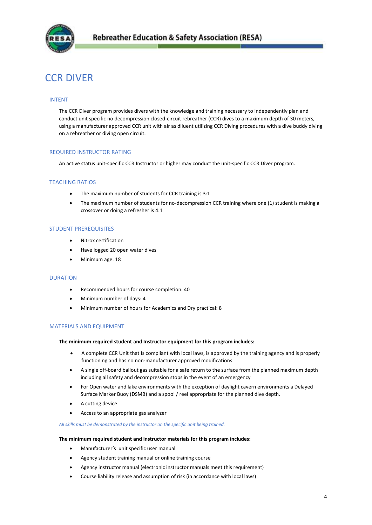

# <span id="page-3-0"></span>CCR DIVER

# INTENT

The CCR Diver program provides divers with the knowledge and training necessary to independently plan and conduct unit specific no decompression closed-circuit rebreather (CCR) dives to a maximum depth of 30 meters, using a manufacturer approved CCR unit with air as diluent utilizing CCR Diving procedures with a dive buddy diving on a rebreather or diving open circuit.

# REQUIRED INSTRUCTOR RATING

An active status unit-specific CCR Instructor or higher may conduct the unit-specific CCR Diver program.

# TEACHING RATIOS

- The maximum number of students for CCR training is 3:1
- The maximum number of students for no-decompression CCR training where one (1) student is making a crossover or doing a refresher is 4:1

#### STUDENT PREREQUISITES

- Nitrox certification
- Have logged 20 open water dives
- Minimum age: 18

#### DURATION

- Recommended hours for course completion: 40
- Minimum number of days: 4
- Minimum number of hours for Academics and Dry practical: 8

# MATERIALS AND EQUIPMENT

#### **The minimum required student and Instructor equipment for this program includes:**

- A complete CCR Unit that Is compliant with local laws, is approved by the training agency and is properly functioning and has no non-manufacturer approved modifications
- A single off-board bailout gas suitable for a safe return to the surface from the planned maximum depth including all safety and decompression stops in the event of an emergency
- For Open water and lake environments with the exception of daylight cavern environments a Delayed Surface Marker Buoy (DSMB) and a spool / reel appropriate for the planned dive depth.
- A cutting device
- Access to an appropriate gas analyzer

#### *All skills must be demonstrated by the instructor on the specific unit being trained.*

#### **The minimum required student and instructor materials for this program includes:**

- Manufacturer's unit specific user manual
- Agency student training manual or online training course
- Agency instructor manual (electronic instructor manuals meet this requirement)
- Course liability release and assumption of risk (in accordance with local laws)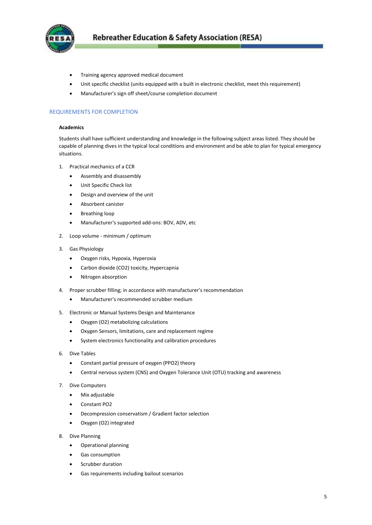

- Training agency approved medical document
- Unit specific checklist (units equipped with a built in electronic checklist, meet this requirement)
- Manufacturer's sign off sheet/course completion document

# REQUIREMENTS FOR COMPLETION

#### **Academics**

Students shall have sufficient understanding and knowledge in the following subject areas listed. They should be capable of planning dives in the typical local conditions and environment and be able to plan for typical emergency situations.

- 1. Practical mechanics of a CCR
	- Assembly and disassembly
	- Unit Specific Check list
	- Design and overview of the unit
	- Absorbent canister
	- Breathing loop
	- Manufacturer's supported add-ons: BOV, ADV, etc
- 2. Loop volume minimum / optimum
- 3. Gas Physiology
	- Oxygen risks, Hypoxia, Hyperoxia
	- Carbon dioxide (CO2) toxicity, Hypercapnia
	- Nitrogen absorption
- 4. Proper scrubber filling; in accordance with manufacturer's recommendation
	- Manufacturer's recommended scrubber medium
- 5. Electronic or Manual Systems Design and Maintenance
	- Oxygen (O2) metabolizing calculations
	- Oxygen Sensors, limitations, care and replacement regime
	- System electronics functionality and calibration procedures
- 6. Dive Tables
	- Constant partial pressure of oxygen (PPO2) theory
	- Central nervous system (CNS) and Oxygen Tolerance Unit (OTU) tracking and awareness
- 7. Dive Computers
	- Mix adjustable
	- Constant PO2
	- Decompression conservatism / Gradient factor selection
	- Oxygen (O2) integrated
- 8. Dive Planning
	- Operational planning
	- Gas consumption
	- Scrubber duration
	- Gas requirements including bailout scenarios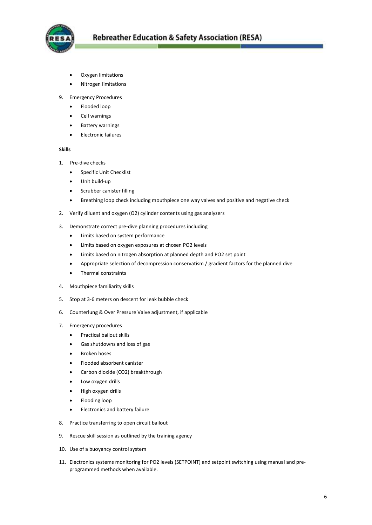

- Oxygen limitations
- Nitrogen limitations
- 9. Emergency Procedures
	- Flooded loop
	- Cell warnings
	- Battery warnings
	- Electronic failures

# **Skills**

- 1. Pre-dive checks
	- **•** Specific Unit Checklist
	- Unit build-up
	- Scrubber canister filling
	- Breathing loop check including mouthpiece one way valves and positive and negative check
- 2. Verify diluent and oxygen (O2) cylinder contents using gas analyzers
- 3. Demonstrate correct pre-dive planning procedures including
	- Limits based on system performance
	- Limits based on oxygen exposures at chosen PO2 levels
	- Limits based on nitrogen absorption at planned depth and PO2 set point
	- Appropriate selection of decompression conservatism / gradient factors for the planned dive
	- Thermal constraints
- 4. Mouthpiece familiarity skills
- 5. Stop at 3-6 meters on descent for leak bubble check
- 6. Counterlung & Over Pressure Valve adjustment, if applicable
- 7. Emergency procedures
	- **•** Practical bailout skills
	- Gas shutdowns and loss of gas
	- Broken hoses
	- Flooded absorbent canister
	- Carbon dioxide (CO2) breakthrough
	- Low oxygen drills
	- High oxygen drills
	- Flooding loop
	- Electronics and battery failure
- 8. Practice transferring to open circuit bailout
- 9. Rescue skill session as outlined by the training agency
- 10. Use of a buoyancy control system
- 11. Electronics systems monitoring for PO2 levels (SETPOINT) and setpoint switching using manual and preprogrammed methods when available.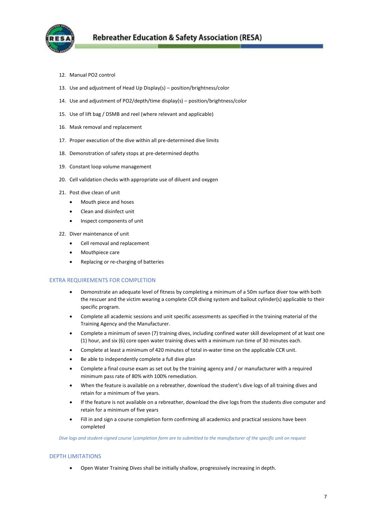

- 12. Manual PO2 control
- 13. Use and adjustment of Head Up Display(s) position/brightness/color
- 14. Use and adjustment of PO2/depth/time display(s) position/brightness/color
- 15. Use of lift bag / DSMB and reel (where relevant and applicable)
- 16. Mask removal and replacement
- 17. Proper execution of the dive within all pre-determined dive limits
- 18. Demonstration of safety stops at pre-determined depths
- 19. Constant loop volume management
- 20. Cell validation checks with appropriate use of diluent and oxygen
- 21. Post dive clean of unit
	- Mouth piece and hoses
	- Clean and disinfect unit
	- Inspect components of unit
- 22. Diver maintenance of unit
	- Cell removal and replacement
	- Mouthpiece care
	- Replacing or re-charging of batteries

# EXTRA REQUIREMENTS FOR COMPLETION

- Demonstrate an adequate level of fitness by completing a minimum of a 50m surface diver tow with both the rescuer and the victim wearing a complete CCR diving system and bailout cylinder(s) applicable to their specific program.
- Complete all academic sessions and unit specific assessments as specified in the training material of the Training Agency and the Manufacturer.
- Complete a minimum of seven (7) training dives, including confined water skill development of at least one (1) hour, and six (6) core open water training dives with a minimum run time of 30 minutes each.
- Complete at least a minimum of 420 minutes of total in-water time on the applicable CCR unit.
- Be able to independently complete a full dive plan
- Complete a final course exam as set out by the training agency and / or manufacturer with a required minimum pass rate of 80% with 100% remediation.
- When the feature is available on a rebreather, download the student's dive logs of all training dives and retain for a minimum of five years.
- If the feature is not available on a rebreather, download the dive logs from the students dive computer and retain for a minimum of five years
- Fill in and sign a course completion form confirming all academics and practical sessions have been completed

*Dive logs and student-signed course \completion form are to submitted to the manufacturer of the specific unit on request*

# DEPTH LIMITATIONS

Open Water Training Dives shall be initially shallow, progressively increasing in depth.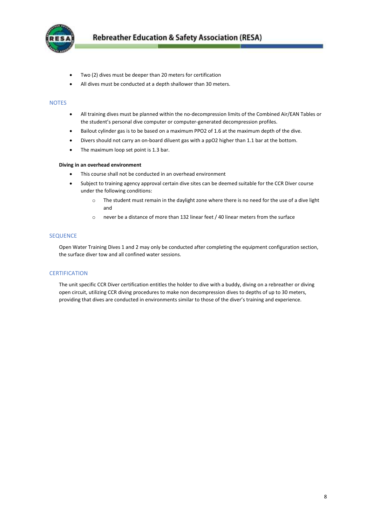

- Two (2) dives must be deeper than 20 meters for certification
- All dives must be conducted at a depth shallower than 30 meters.

#### **NOTES**

- All training dives must be planned within the no-decompression limits of the Combined Air/EAN Tables or the student's personal dive computer or computer-generated decompression profiles.
- Bailout cylinder gas is to be based on a maximum PPO2 of 1.6 at the maximum depth of the dive.
- Divers should not carry an on-board diluent gas with a ppO2 higher than 1.1 bar at the bottom.
- The maximum loop set point is 1.3 bar.

#### **Diving in an overhead environment**

- This course shall not be conducted in an overhead environment
- Subject to training agency approval certain dive sites can be deemed suitable for the CCR Diver course under the following conditions:
	- o The student must remain in the daylight zone where there is no need for the use of a dive light and
	- o never be a distance of more than 132 linear feet / 40 linear meters from the surface

#### SEQUENCE

Open Water Training Dives 1 and 2 may only be conducted after completing the equipment configuration section, the surface diver tow and all confined water sessions.

#### **CERTIFICATION**

<span id="page-7-0"></span>The unit specific CCR Diver certification entitles the holder to dive with a buddy, diving on a rebreather or diving open circuit, utilizing CCR diving procedures to make non decompression dives to depths of up to 30 meters, providing that dives are conducted in environments similar to those of the diver's training and experience.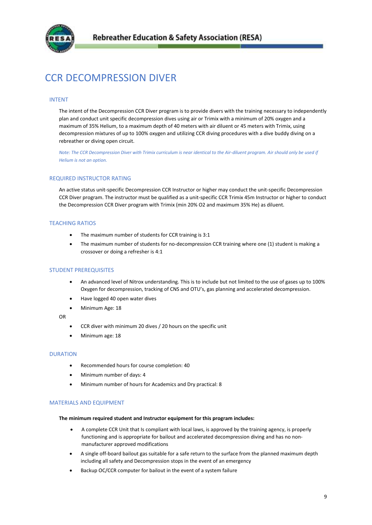

# CCR DECOMPRESSION DIVER

# INTENT

The intent of the Decompression CCR Diver program is to provide divers with the training necessary to independently plan and conduct unit specific decompression dives using air or Trimix with a minimum of 20% oxygen and a maximum of 35% Helium, to a maximum depth of 40 meters with air diluent or 45 meters with Trimix, using decompression mixtures of up to 100% oxygen and utilizing CCR diving procedures with a dive buddy diving on a rebreather or diving open circuit.

*Note: The CCR Decompression Diver with Trimix curriculum is near identical to the Air-diluent program. Air should only be used if Helium is not an option.*

# REQUIRED INSTRUCTOR RATING

An active status unit-specific Decompression CCR Instructor or higher may conduct the unit-specific Decompression CCR Diver program. The instructor must be qualified as a unit-specific CCR Trimix 45m Instructor or higher to conduct the Decompression CCR Diver program with Trimix (min 20% O2 and maximum 35% He) as diluent.

# TEACHING RATIOS

- The maximum number of students for CCR training is 3:1
- The maximum number of students for no-decompression CCR training where one (1) student is making a crossover or doing a refresher is 4:1

#### STUDENT PREREQUISITES

- An advanced level of Nitrox understanding. This is to include but not limited to the use of gases up to 100% Oxygen for decompression, tracking of CNS and OTU's, gas planning and accelerated decompression.
- Have logged 40 open water dives
- Minimum Age: 18

OR

- CCR diver with minimum 20 dives / 20 hours on the specific unit
- Minimum age: 18

#### DURATION

- Recommended hours for course completion: 40
- Minimum number of days: 4
- Minimum number of hours for Academics and Dry practical: 8

#### MATERIALS AND EQUIPMENT

#### **The minimum required student and Instructor equipment for this program includes:**

- A complete CCR Unit that Is compliant with local laws, is approved by the training agency, is properly functioning and is appropriate for bailout and accelerated decompression diving and has no nonmanufacturer approved modifications
- A single off-board bailout gas suitable for a safe return to the surface from the planned maximum depth including all safety and Decompression stops in the event of an emergency
- Backup OC/CCR computer for bailout in the event of a system failure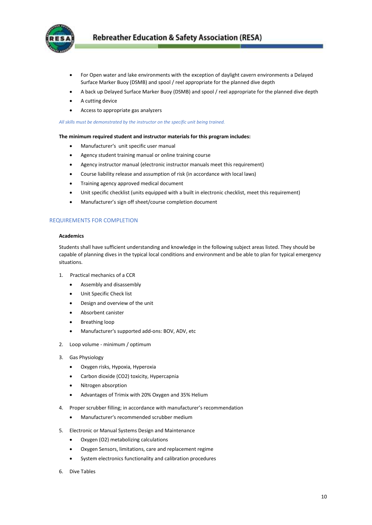

- For Open water and lake environments with the exception of daylight cavern environments a Delayed Surface Marker Buoy (DSMB) and spool / reel appropriate for the planned dive depth
- A back up Delayed Surface Marker Buoy (DSMB) and spool / reel appropriate for the planned dive depth
- A cutting device
- Access to appropriate gas analyzers

*All skills must be demonstrated by the instructor on the specific unit being trained.*

#### **The minimum required student and instructor materials for this program includes:**

- Manufacturer's unit specific user manual
- Agency student training manual or online training course
- Agency instructor manual (electronic instructor manuals meet this requirement)
- Course liability release and assumption of risk (in accordance with local laws)
- Training agency approved medical document
- Unit specific checklist (units equipped with a built in electronic checklist, meet this requirement)
- Manufacturer's sign off sheet/course completion document

# REQUIREMENTS FOR COMPLETION

#### **Academics**

Students shall have sufficient understanding and knowledge in the following subject areas listed. They should be capable of planning dives in the typical local conditions and environment and be able to plan for typical emergency situations.

- 1. Practical mechanics of a CCR
	- Assembly and disassembly
	- Unit Specific Check list
	- Design and overview of the unit
	- Absorbent canister
	- Breathing loop
	- Manufacturer's supported add-ons: BOV, ADV, etc
- 2. Loop volume minimum / optimum
- 3. Gas Physiology
	- Oxygen risks, Hypoxia, Hyperoxia
	- Carbon dioxide (CO2) toxicity, Hypercapnia
	- Nitrogen absorption
	- Advantages of Trimix with 20% Oxygen and 35% Helium
- 4. Proper scrubber filling; in accordance with manufacturer's recommendation
	- Manufacturer's recommended scrubber medium
- 5. Electronic or Manual Systems Design and Maintenance
	- Oxygen (O2) metabolizing calculations
	- Oxygen Sensors, limitations, care and replacement regime
	- System electronics functionality and calibration procedures
- 6. Dive Tables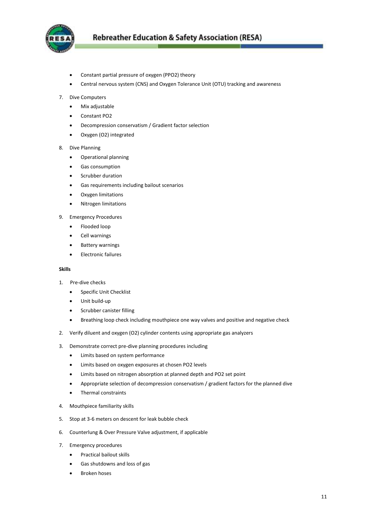

- Constant partial pressure of oxygen (PPO2) theory
- Central nervous system (CNS) and Oxygen Tolerance Unit (OTU) tracking and awareness
- 7. Dive Computers
	- Mix adjustable
	- Constant PO2
	- Decompression conservatism / Gradient factor selection
	- Oxygen (O2) integrated
- 8. Dive Planning
	- Operational planning
	- Gas consumption
	- Scrubber duration
	- Gas requirements including bailout scenarios
	- Oxygen limitations
	- Nitrogen limitations
- 9. Emergency Procedures
	- Flooded loop
	- Cell warnings
	- Battery warnings
	- Electronic failures

#### **Skills**

- 1. Pre-dive checks
	- **•** Specific Unit Checklist
	- Unit build-up
	- Scrubber canister filling
	- Breathing loop check including mouthpiece one way valves and positive and negative check
- 2. Verify diluent and oxygen (O2) cylinder contents using appropriate gas analyzers
- 3. Demonstrate correct pre-dive planning procedures including
	- Limits based on system performance
	- Limits based on oxygen exposures at chosen PO2 levels
	- Limits based on nitrogen absorption at planned depth and PO2 set point
	- Appropriate selection of decompression conservatism / gradient factors for the planned dive
	- Thermal constraints
- 4. Mouthpiece familiarity skills
- 5. Stop at 3-6 meters on descent for leak bubble check
- 6. Counterlung & Over Pressure Valve adjustment, if applicable
- 7. Emergency procedures
	- **•** Practical bailout skills
	- Gas shutdowns and loss of gas
	- Broken hoses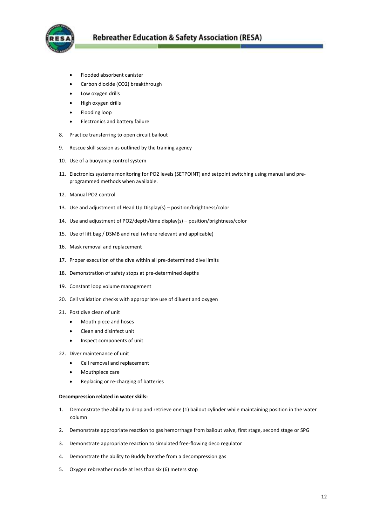

- Flooded absorbent canister
- Carbon dioxide (CO2) breakthrough
- Low oxygen drills
- High oxygen drills
- Flooding loop
- Electronics and battery failure
- 8. Practice transferring to open circuit bailout
- 9. Rescue skill session as outlined by the training agency
- 10. Use of a buoyancy control system
- 11. Electronics systems monitoring for PO2 levels (SETPOINT) and setpoint switching using manual and preprogrammed methods when available.
- 12. Manual PO2 control
- 13. Use and adjustment of Head Up Display(s) position/brightness/color
- 14. Use and adjustment of PO2/depth/time display(s) position/brightness/color
- 15. Use of lift bag / DSMB and reel (where relevant and applicable)
- 16. Mask removal and replacement
- 17. Proper execution of the dive within all pre-determined dive limits
- 18. Demonstration of safety stops at pre-determined depths
- 19. Constant loop volume management
- 20. Cell validation checks with appropriate use of diluent and oxygen
- 21. Post dive clean of unit
	- Mouth piece and hoses
	- Clean and disinfect unit
	- Inspect components of unit
- 22. Diver maintenance of unit
	- Cell removal and replacement
	- Mouthpiece care
	- Replacing or re-charging of batteries

#### **Decompression related in water skills:**

- 1. Demonstrate the ability to drop and retrieve one (1) bailout cylinder while maintaining position in the water column
- 2. Demonstrate appropriate reaction to gas hemorrhage from bailout valve, first stage, second stage or SPG
- 3. Demonstrate appropriate reaction to simulated free-flowing deco regulator
- 4. Demonstrate the ability to Buddy breathe from a decompression gas
- 5. Oxygen rebreather mode at less than six (6) meters stop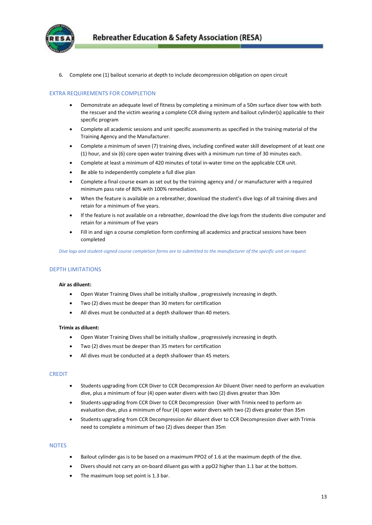

6. Complete one (1) bailout scenario at depth to include decompression obligation on open circuit

# EXTRA REQUIREMENTS FOR COMPLETION

- Demonstrate an adequate level of fitness by completing a minimum of a 50m surface diver tow with both the rescuer and the victim wearing a complete CCR diving system and bailout cylinder(s) applicable to their specific program
- Complete all academic sessions and unit specific assessments as specified in the training material of the Training Agency and the Manufacturer.
- Complete a minimum of seven (7) training dives, including confined water skill development of at least one (1) hour, and six (6) core open water training dives with a minimum run time of 30 minutes each.
- Complete at least a minimum of 420 minutes of total in-water time on the applicable CCR unit.
- Be able to independently complete a full dive plan
- Complete a final course exam as set out by the training agency and / or manufacturer with a required minimum pass rate of 80% with 100% remediation.
- When the feature is available on a rebreather, download the student's dive logs of all training dives and retain for a minimum of five years.
- If the feature is not available on a rebreather, download the dive logs from the students dive computer and retain for a minimum of five years
- Fill in and sign a course completion form confirming all academics and practical sessions have been completed

*Dive logs and student-signed course completion forms are to submitted to the manufacturer of the specific unit on request*

# DEPTH LIMITATIONS

#### **Air as diluent:**

- Open Water Training Dives shall be initially shallow , progressively increasing in depth.
- Two (2) dives must be deeper than 30 meters for certification
- All dives must be conducted at a depth shallower than 40 meters.

#### **Trimix as diluent:**

- Open Water Training Dives shall be initially shallow , progressively increasing in depth.
- Two (2) dives must be deeper than 35 meters for certification
- All dives must be conducted at a depth shallower than 45 meters.

#### **CREDIT**

- Students upgrading from CCR Diver to CCR Decompression Air Diluent Diver need to perform an evaluation dive, plus a minimum of four (4) open water divers with two (2) dives greater than 30m
- Students upgrading from CCR Diver to CCR Decompression Diver with Trimix need to perform an evaluation dive, plus a minimum of four (4) open water divers with two (2) dives greater than 35m
- Students upgrading from CCR Decompression Air diluent diver to CCR Decompression diver with Trimix need to complete a minimum of two (2) dives deeper than 35m

#### **NOTES**

- Bailout cylinder gas is to be based on a maximum PPO2 of 1.6 at the maximum depth of the dive.
- Divers should not carry an on-board diluent gas with a ppO2 higher than 1.1 bar at the bottom.
- The maximum loop set point is 1.3 bar.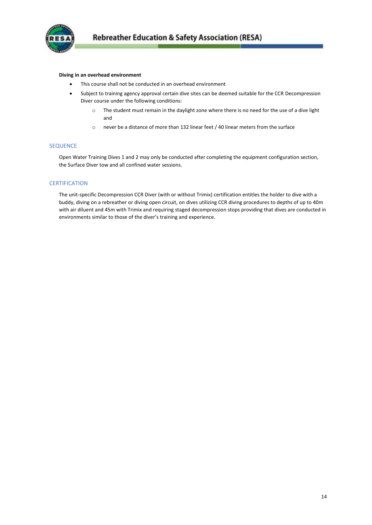

#### **Diving in an overhead environment**

- This course shall not be conducted in an overhead environment
- Subject to training agency approval certain dive sites can be deemed suitable for the CCR Decompression Diver course under the following conditions:
	- o The student must remain in the daylight zone where there is no need for the use of a dive light and
	- o never be a distance of more than 132 linear feet / 40 linear meters from the surface

#### SEQUENCE

Open Water Training Dives 1 and 2 may only be conducted after completing the equipment configuration section, the Surface Diver tow and all confined water sessions.

# **CERTIFICATION**

The unit-specific Decompression CCR Diver (with or without Trimix) certification entitles the holder to dive with a buddy, diving on a rebreather or diving open circuit, on dives utilizing CCR diving procedures to depths of up to 40m with air diluent and 45m with Trimix and requiring staged decompression stops providing that dives are conducted in environments similar to those of the diver's training and experience.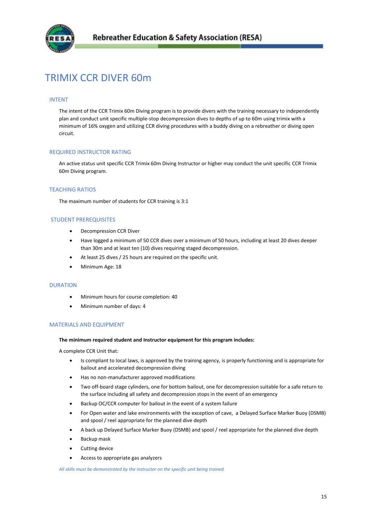

# <span id="page-14-0"></span>TRIMIX CCR DIVER 60m

#### INTENT

The intent of the CCR Trimix 60m Diving program is to provide divers with the training necessary to independently plan and conduct unit specific multiple-stop decompression dives to depths of up to 60m using trimix with a minimum of 16% oxygen and utilizing CCR diving procedures with a buddy diving on a rebreather or diving open circuit.

# REQUIRED INSTRUCTOR RATING

An active status unit specific CCR Trimix 60m Diving Instructor or higher may conduct the unit specific CCR Trimix 60m Diving program.

# TEACHING RATIOS

The maximum number of students for CCR training is 3:1

#### STUDENT PREREQUISITES

- Decompression CCR Diver
- Have logged a minimum of 50 CCR dives over a minimum of 50 hours, including at least 20 dives deeper than 30m and at least ten (10) dives requiring staged decompression.
- At least 25 dives / 25 hours are required on the specific unit.
- Minimum Age: 18

#### DURATION

- Minimum hours for course completion: 40
- Minimum number of days: 4

#### MATERIALS AND EQUIPMENT

#### **The minimum required student and Instructor equipment for this program includes:**

A complete CCR Unit that:

- Is compliant to local laws, is approved by the training agency, is properly functioning and is appropriate for bailout and accelerated decompression diving
- Has no non-manufacturer approved modifications
- Two off-board stage cylinders, one for bottom bailout, one for decompression suitable for a safe return to the surface including all safety and decompression stops in the event of an emergency
- Backup OC/CCR computer for bailout in the event of a system failure
- For Open water and lake environments with the exception of cave, a Delayed Surface Marker Buoy (DSMB) and spool / reel appropriate for the planned dive depth
- A back up Delayed Surface Marker Buoy (DSMB) and spool / reel appropriate for the planned dive depth
- Backup mask
- Cutting device
- Access to appropriate gas analyzers

*All skills must be demonstrated by the instructor on the specific unit being trained.*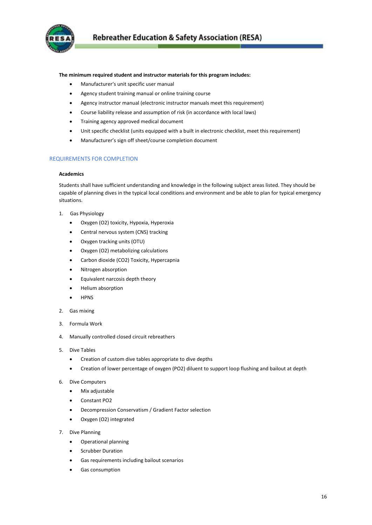

#### **The minimum required student and instructor materials for this program includes:**

- Manufacturer's unit specific user manual
- Agency student training manual or online training course
- Agency instructor manual (electronic instructor manuals meet this requirement)
- Course liability release and assumption of risk (in accordance with local laws)
- Training agency approved medical document
- Unit specific checklist (units equipped with a built in electronic checklist, meet this requirement)
- Manufacturer's sign off sheet/course completion document

# REQUIREMENTS FOR COMPLETION

# **Academics**

Students shall have sufficient understanding and knowledge in the following subject areas listed. They should be capable of planning dives in the typical local conditions and environment and be able to plan for typical emergency situations.

- 1. Gas Physiology
	- Oxygen (O2) toxicity, Hypoxia, Hyperoxia
	- Central nervous system (CNS) tracking
	- Oxygen tracking units (OTU)
	- Oxygen (O2) metabolizing calculations
	- Carbon dioxide (CO2) Toxicity, Hypercapnia
	- Nitrogen absorption
	- Equivalent narcosis depth theory
	- Helium absorption
	- HPNS
- 2. Gas mixing
- 3. Formula Work
- 4. Manually controlled closed circuit rebreathers
- 5. Dive Tables
	- Creation of custom dive tables appropriate to dive depths
	- Creation of lower percentage of oxygen (PO2) diluent to support loop flushing and bailout at depth
- 6. Dive Computers
	- Mix adjustable
	- Constant PO2
	- Decompression Conservatism / Gradient Factor selection
	- Oxygen (O2) integrated
- 7. Dive Planning
	- Operational planning
	- Scrubber Duration
	- Gas requirements including bailout scenarios
	- Gas consumption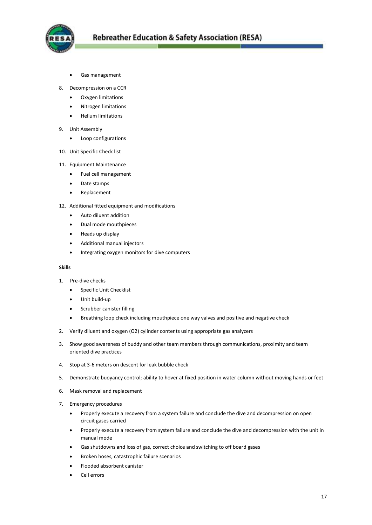

- Gas management
- 8. Decompression on a CCR
	- Oxygen limitations
	- Nitrogen limitations
	- Helium limitations
- 9. Unit Assembly
	- Loop configurations
- 10. Unit Specific Check list
- 11. Equipment Maintenance
	- Fuel cell management
	- Date stamps
	- Replacement
- 12. Additional fitted equipment and modifications
	- Auto diluent addition
	- Dual mode mouthpieces
	- Heads up display
	- Additional manual injectors
	- $\bullet$  Integrating oxygen monitors for dive computers

#### **Skills**

- 1. Pre-dive checks
	- **•** Specific Unit Checklist
	- Unit build-up
	- Scrubber canister filling
	- Breathing loop check including mouthpiece one way valves and positive and negative check
- 2. Verify diluent and oxygen (O2) cylinder contents using appropriate gas analyzers
- 3. Show good awareness of buddy and other team members through communications, proximity and team oriented dive practices
- 4. Stop at 3-6 meters on descent for leak bubble check
- 5. Demonstrate buoyancy control; ability to hover at fixed position in water column without moving hands or feet
- 6. Mask removal and replacement
- 7. Emergency procedures
	- Properly execute a recovery from a system failure and conclude the dive and decompression on open circuit gases carried
	- Properly execute a recovery from system failure and conclude the dive and decompression with the unit in manual mode
	- Gas shutdowns and loss of gas, correct choice and switching to off board gases
	- Broken hoses, catastrophic failure scenarios
	- Flooded absorbent canister
	- Cell errors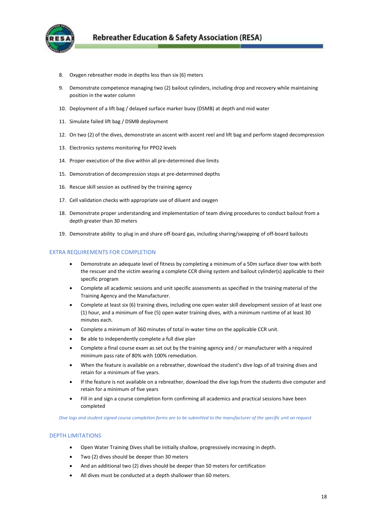

- 8. Oxygen rebreather mode in depths less than six (6) meters
- 9. Demonstrate competence managing two (2) bailout cylinders, including drop and recovery while maintaining position in the water column
- 10. Deployment of a lift bag / delayed surface marker buoy (DSMB) at depth and mid water
- 11. Simulate failed lift bag / DSMB deployment
- 12. On two (2) of the dives, demonstrate an ascent with ascent reel and lift bag and perform staged decompression
- 13. Electronics systems monitoring for PPO2 levels
- 14. Proper execution of the dive within all pre-determined dive limits
- 15. Demonstration of decompression stops at pre-determined depths
- 16. Rescue skill session as outlined by the training agency
- 17. Cell validation checks with appropriate use of diluent and oxygen
- 18. Demonstrate proper understanding and implementation of team diving procedures to conduct bailout from a depth greater than 30 meters
- 19. Demonstrate ability to plug in and share off-board gas, including sharing/swapping of off-board bailouts

#### EXTRA REQUIREMENTS FOR COMPLETION

- Demonstrate an adequate level of fitness by completing a minimum of a 50m surface diver tow with both the rescuer and the victim wearing a complete CCR diving system and bailout cylinder(s) applicable to their specific program
- Complete all academic sessions and unit specific assessments as specified in the training material of the Training Agency and the Manufacturer.
- Complete at least six (6) training dives, including one open water skill development session of at least one (1) hour, and a minimum of five (5) open water training dives, with a minimum runtime of at least 30 minutes each.
- Complete a minimum of 360 minutes of total in-water time on the applicable CCR unit.
- Be able to independently complete a full dive plan
- Complete a final course exam as set out by the training agency and / or manufacturer with a required minimum pass rate of 80% with 100% remediation.
- When the feature is available on a rebreather, download the student's dive logs of all training dives and retain for a minimum of five years.
- If the feature is not available on a rebreather, download the dive logs from the students dive computer and retain for a minimum of five years
- Fill in and sign a course completion form confirming all academics and practical sessions have been completed

*Dive logs and student signed course completion forms are to be submitted to the manufacturer of the specific unit on request*

#### DEPTH LIMITATIONS

- Open Water Training Dives shall be initially shallow, progressively increasing in depth.
- Two (2) dives should be deeper than 30 meters
- And an additional two (2) dives should be deeper than 50 meters for certification
- All dives must be conducted at a depth shallower than 60 meters.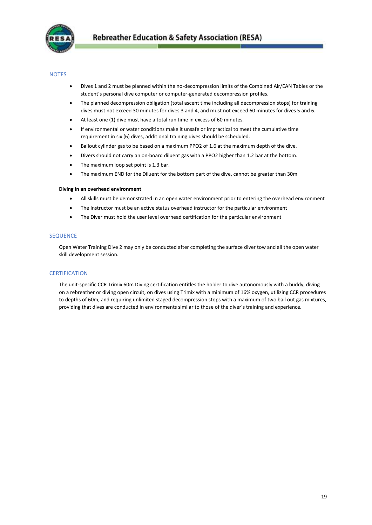

# **NOTES**

- Dives 1 and 2 must be planned within the no-decompression limits of the Combined Air/EAN Tables or the student's personal dive computer or computer-generated decompression profiles.
- The planned decompression obligation (total ascent time including all decompression stops) for training dives must not exceed 30 minutes for dives 3 and 4, and must not exceed 60 minutes for dives 5 and 6.
- At least one (1) dive must have a total run time in excess of 60 minutes.
- If environmental or water conditions make it unsafe or impractical to meet the cumulative time requirement in six (6) dives, additional training dives should be scheduled.
- Bailout cylinder gas to be based on a maximum PPO2 of 1.6 at the maximum depth of the dive.
- Divers should not carry an on-board diluent gas with a PPO2 higher than 1.2 bar at the bottom.
- The maximum loop set point is 1.3 bar.
- The maximum END for the Diluent for the bottom part of the dive, cannot be greater than 30m

#### **Diving in an overhead environment**

- All skills must be demonstrated in an open water environment prior to entering the overhead environment
- The Instructor must be an active status overhead instructor for the particular environment
- The Diver must hold the user level overhead certification for the particular environment

# SEQUENCE

Open Water Training Dive 2 may only be conducted after completing the surface diver tow and all the open water skill development session.

# **CERTIFICATION**

<span id="page-18-0"></span>The unit-specific CCR Trimix 60m Diving certification entitles the holder to dive autonomously with a buddy, diving on a rebreather or diving open circuit, on dives using Trimix with a minimum of 16% oxygen, utilizing CCR procedures to depths of 60m, and requiring unlimited staged decompression stops with a maximum of two bail out gas mixtures, providing that dives are conducted in environments similar to those of the diver's training and experience.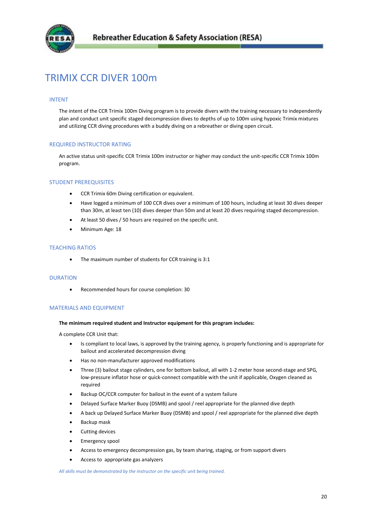

# TRIMIX CCR DIVER 100m

#### INTENT

The intent of the CCR Trimix 100m Diving program is to provide divers with the training necessary to independently plan and conduct unit specific staged decompression dives to depths of up to 100m using hypoxic Trimix mixtures and utilizing CCR diving procedures with a buddy diving on a rebreather or diving open circuit.

#### REQUIRED INSTRUCTOR RATING

An active status unit-specific CCR Trimix 100m instructor or higher may conduct the unit-specific CCR Trimix 100m program.

# STUDENT PREREQUISITES

- CCR Trimix 60m Diving certification or equivalent.
- Have logged a minimum of 100 CCR dives over a minimum of 100 hours, including at least 30 dives deeper than 30m, at least ten (10) dives deeper than 50m and at least 20 dives requiring staged decompression.
- At least 50 dives / 50 hours are required on the specific unit.
- Minimum Age: 18

# TEACHING RATIOS

• The maximum number of students for CCR training is 3:1

#### DURATION

Recommended hours for course completion: 30

#### MATERIALS AND EQUIPMENT

#### **The minimum required student and Instructor equipment for this program includes:**

A complete CCR Unit that:

- Is compliant to local laws, is approved by the training agency, is properly functioning and is appropriate for bailout and accelerated decompression diving
- Has no non-manufacturer approved modifications
- Three (3) bailout stage cylinders, one for bottom bailout, all with 1-2 meter hose second-stage and SPG, low-pressure inflator hose or quick-connect compatible with the unit if applicable, Oxygen cleaned as required
- Backup OC/CCR computer for bailout in the event of a system failure
- Delayed Surface Marker Buoy (DSMB) and spool / reel appropriate for the planned dive depth
- A back up Delayed Surface Marker Buoy (DSMB) and spool / reel appropriate for the planned dive depth
- Backup mask
- Cutting devices
- Emergency spool
- Access to emergency decompression gas, by team sharing, staging, or from support divers
- Access to appropriate gas analyzers

*All skills must be demonstrated by the instructor on the specific unit being trained.*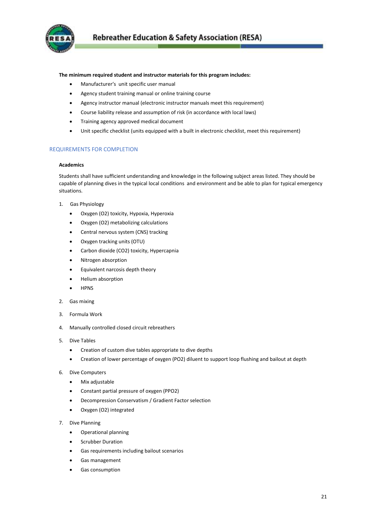

#### **The minimum required student and instructor materials for this program includes:**

- Manufacturer's unit specific user manual
- Agency student training manual or online training course
- Agency instructor manual (electronic instructor manuals meet this requirement)
- Course liability release and assumption of risk (in accordance with local laws)
- Training agency approved medical document
- Unit specific checklist (units equipped with a built in electronic checklist, meet this requirement)

# REQUIREMENTS FOR COMPLETION

#### **Academics**

Students shall have sufficient understanding and knowledge in the following subject areas listed. They should be capable of planning dives in the typical local conditions and environment and be able to plan for typical emergency situations.

- 1. Gas Physiology
	- Oxygen (O2) toxicity, Hypoxia, Hyperoxia
	- Oxygen (O2) metabolizing calculations
	- Central nervous system (CNS) tracking
	- Oxygen tracking units (OTU)
	- Carbon dioxide (CO2) toxicity, Hypercapnia
	- Nitrogen absorption
	- Equivalent narcosis depth theory
	- **•** Helium absorption
	- HPNS
- 2. Gas mixing
- 3. Formula Work
- 4. Manually controlled closed circuit rebreathers
- 5. Dive Tables
	- Creation of custom dive tables appropriate to dive depths
	- Creation of lower percentage of oxygen (PO2) diluent to support loop flushing and bailout at depth
- 6. Dive Computers
	- Mix adjustable
	- Constant partial pressure of oxygen (PPO2)
	- Decompression Conservatism / Gradient Factor selection
	- Oxygen (O2) integrated
- 7. Dive Planning
	- Operational planning
	- Scrubber Duration
	- Gas requirements including bailout scenarios
	- Gas management
	- Gas consumption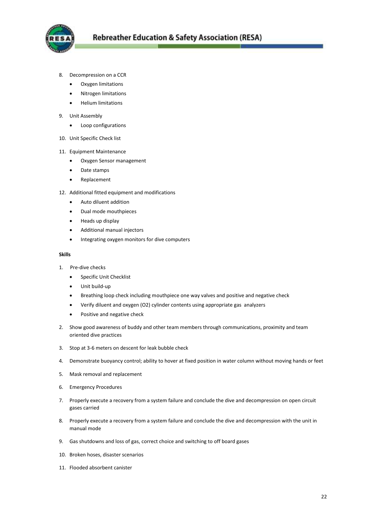

- 8. Decompression on a CCR
	- Oxygen limitations
	- Nitrogen limitations
	- Helium limitations
- 9. Unit Assembly
	- Loop configurations
- 10. Unit Specific Check list
- 11. Equipment Maintenance
	- Oxygen Sensor management
	- Date stamps
	- Replacement
- 12. Additional fitted equipment and modifications
	- Auto diluent addition
	- Dual mode mouthpieces
	- Heads up display
	- Additional manual injectors
	- $\bullet$  Integrating oxygen monitors for dive computers

#### **Skills**

- 1. Pre-dive checks
	- **•** Specific Unit Checklist
	- Unit build-up
	- Breathing loop check including mouthpiece one way valves and positive and negative check
	- Verify diluent and oxygen (O2) cylinder contents using appropriate gas analyzers
	- Positive and negative check
- 2. Show good awareness of buddy and other team members through communications, proximity and team oriented dive practices
- 3. Stop at 3-6 meters on descent for leak bubble check
- 4. Demonstrate buoyancy control; ability to hover at fixed position in water column without moving hands or feet
- 5. Mask removal and replacement
- 6. Emergency Procedures
- 7. Properly execute a recovery from a system failure and conclude the dive and decompression on open circuit gases carried
- 8. Properly execute a recovery from a system failure and conclude the dive and decompression with the unit in manual mode
- 9. Gas shutdowns and loss of gas, correct choice and switching to off board gases
- 10. Broken hoses, disaster scenarios
- 11. Flooded absorbent canister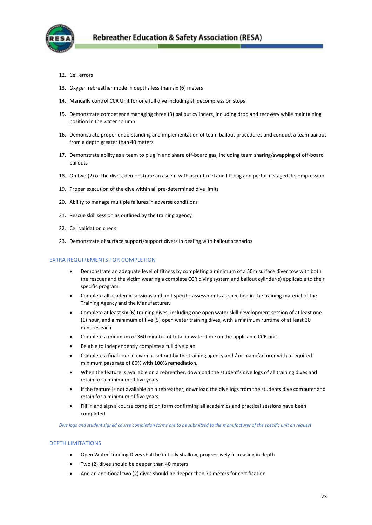

- 12. Cell errors
- 13. Oxygen rebreather mode in depths less than six (6) meters
- 14. Manually control CCR Unit for one full dive including all decompression stops
- 15. Demonstrate competence managing three (3) bailout cylinders, including drop and recovery while maintaining position in the water column
- 16. Demonstrate proper understanding and implementation of team bailout procedures and conduct a team bailout from a depth greater than 40 meters
- 17. Demonstrate ability as a team to plug in and share off-board gas, including team sharing/swapping of off-board bailouts
- 18. On two (2) of the dives, demonstrate an ascent with ascent reel and lift bag and perform staged decompression
- 19. Proper execution of the dive within all pre-determined dive limits
- 20. Ability to manage multiple failures in adverse conditions
- 21. Rescue skill session as outlined by the training agency
- 22. Cell validation check
- 23. Demonstrate of surface support/support divers in dealing with bailout scenarios

#### EXTRA REQUIREMENTS FOR COMPLETION

- Demonstrate an adequate level of fitness by completing a minimum of a 50m surface diver tow with both the rescuer and the victim wearing a complete CCR diving system and bailout cylinder(s) applicable to their specific program
- Complete all academic sessions and unit specific assessments as specified in the training material of the Training Agency and the Manufacturer.
- Complete at least six (6) training dives, including one open water skill development session of at least one (1) hour, and a minimum of five (5) open water training dives, with a minimum runtime of at least 30 minutes each.
- Complete a minimum of 360 minutes of total in-water time on the applicable CCR unit.
- Be able to independently complete a full dive plan
- Complete a final course exam as set out by the training agency and / or manufacturer with a required minimum pass rate of 80% with 100% remediation.
- When the feature is available on a rebreather, download the student's dive logs of all training dives and retain for a minimum of five years.
- If the feature is not available on a rebreather, download the dive logs from the students dive computer and retain for a minimum of five years
- Fill in and sign a course completion form confirming all academics and practical sessions have been completed

*Dive logs and student signed course completion forms are to be submitted to the manufacturer of the specific unit on request*

#### DEPTH LIMITATIONS

- Open Water Training Dives shall be initially shallow, progressively increasing in depth
- Two (2) dives should be deeper than 40 meters
- And an additional two (2) dives should be deeper than 70 meters for certification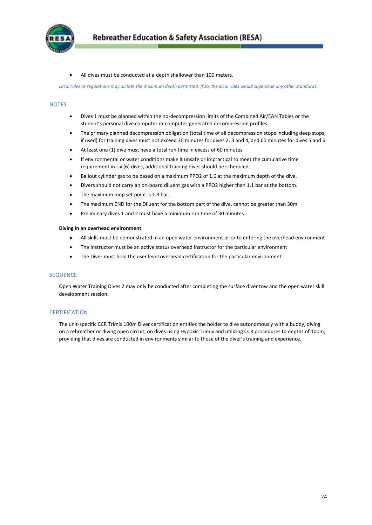

All dives must be conducted at a depth shallower than 100 meters.

*Local rules or regulations may dictate the maximum depth permitted. If so, the local rules would supercede any other standards.*

#### **NOTES**

- Dives 1 must be planned within the no-decompression limits of the Combined Air/EAN Tables or the student's personal dive computer or computer-generated decompression profiles.
- The primary planned decompression obligation (total time of all decompression stops including deep stops, if used) for training dives must not exceed 30 minutes for dives 2, 3 and 4, and 60 minutes for dives 5 and 6.
- At least one (1) dive must have a total run time in excess of 60 minutes.
- If environmental or water conditions make it unsafe or impractical to meet the cumulative time requirement in six (6) dives, additional training dives should be scheduled.
- Bailout cylinder gas to be based on a maximum PPO2 of 1.6 at the maximum depth of the dive.
- Divers should not carry an on-board diluent gas with a PPO2 higher than 1.1 bar at the bottom.
- The maximum loop set point is 1.3 bar.
- The maximum END for the Diluent for the bottom part of the dive, cannot be greater than 30m
- Preliminary dives 1 and 2 must have a minimum run time of 30 minutes.

#### **Diving in an overhead environment**

- All skills must be demonstrated in an open water environment prior to entering the overhead environment
- The Instructor must be an active status overhead instructor for the particular environment
- The Diver must hold the user level overhead certification for the particular environment

#### **SEQUENCE**

Open Water Training Dives 2 may only be conducted after completing the surface diver tow and the open water skill development session.

#### **CERTIFICATION**

<span id="page-23-0"></span>The unit-specific CCR Trimix 100m Diver certification entitles the holder to dive autonomously with a buddy, diving on a rebreather or diving open circuit, on dives using Hypoxic Trimix and utilizing CCR procedures to depths of 100m, providing that dives are conducted in environments similar to those of the diver's training and experience.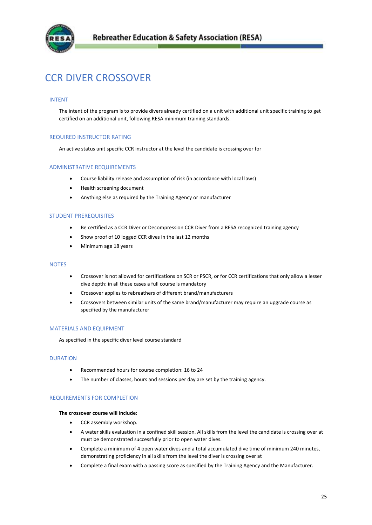

# CCR DIVER CROSSOVER

# INTENT

The intent of the program is to provide divers already certified on a unit with additional unit specific training to get certified on an additional unit, following RESA minimum training standards.

# REQUIRED INSTRUCTOR RATING

An active status unit specific CCR instructor at the level the candidate is crossing over for

#### ADMINISTRATIVE REQUIREMENTS

- Course liability release and assumption of risk (in accordance with local laws)
- Health screening document
- Anything else as required by the Training Agency or manufacturer

# STUDENT PREREQUISITES

- Be certified as a CCR Diver or Decompression CCR Diver from a RESA recognized training agency
- Show proof of 10 logged CCR dives in the last 12 months
- Minimum age 18 years

# **NOTES**

- Crossover is not allowed for certifications on SCR or PSCR, or for CCR certifications that only allow a lesser dive depth: in all these cases a full course is mandatory
- Crossover applies to rebreathers of different brand/manufacturers
- Crossovers between similar units of the same brand/manufacturer may require an upgrade course as specified by the manufacturer

#### MATERIALS AND EQUIPMENT

As specified in the specific diver level course standard

#### **DURATION**

- Recommended hours for course completion: 16 to 24
- The number of classes, hours and sessions per day are set by the training agency.

# REQUIREMENTS FOR COMPLETION

#### **The crossover course will include:**

- CCR assembly workshop.
- A water skills evaluation in a confined skill session. All skills from the level the candidate is crossing over at must be demonstrated successfully prior to open water dives.
- Complete a minimum of 4 open water dives and a total accumulated dive time of minimum 240 minutes, demonstrating proficiency in all skills from the level the diver is crossing over at
- Complete a final exam with a passing score as specified by the Training Agency and the Manufacturer.